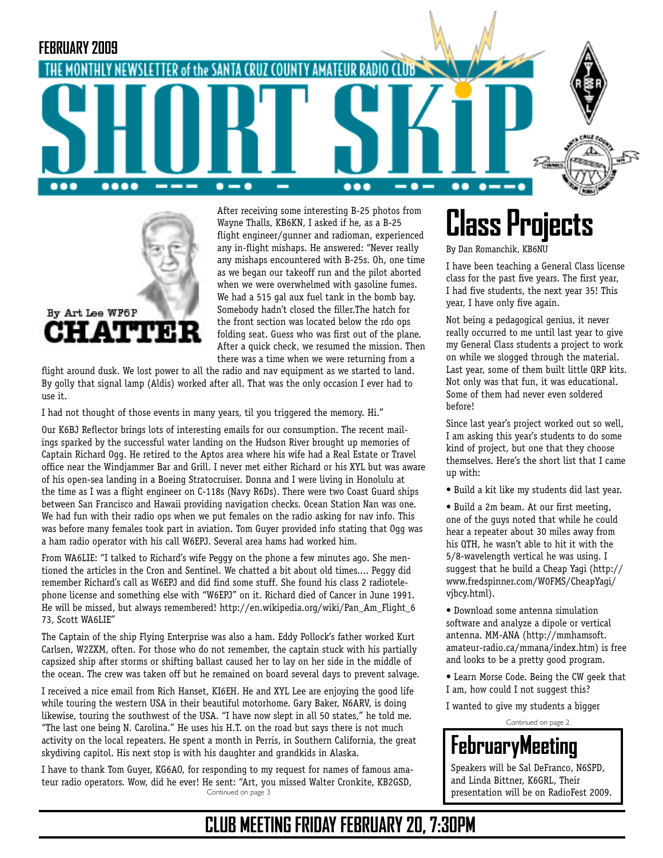



After receiving some interesting B-25 photos from Wayne Thalls, KB6KN, I asked if he, as a B-25 flight engineer/gunner and radioman, experienced any in-flight mishaps. He answered: "Never really any mishaps encountered with B-25s. Oh, one time as we began our takeoff run and the pilot aborted when we were overwhelmed with gasoline fumes. We had a 515 gal aux fuel tank in the bomb bay. Somebody hadn't closed the filler.The hatch for the front section was located below the rdo ops folding seat. Guess who was first out of the plane. After a quick check, we resumed the mission. Then there was a time when we were returning from a

flight around dusk. We lost power to all the radio and nav equipment as we started to land. By golly that signal lamp (Aldis) worked after all. That was the only occasion I ever had to use it.

I had not thought of those events in many years, til you triggered the memory. Hi."

Our K6BJ Reflector brings lots of interesting emails for our consumption. The recent mailings sparked by the successful water landing on the Hudson River brought up memories of Captain Richard Ogg. He retired to the Aptos area where his wife had a Real Estate or Travel office near the Windjammer Bar and Grill. I never met either Richard or his XYL but was aware of his open-sea landing in a Boeing Stratocruiser. Donna and I were living in Honolulu at the time as I was a flight engineer on C-118s (Navy R6Ds). There were two Coast Guard ships between San Francisco and Hawaii providing navigation checks. Ocean Station Nan was one. We had fun with their radio ops when we put females on the radio asking for nav info. This was before many females took part in aviation. Tom Guyer provided info stating that Ogg was a ham radio operator with his call W6EPJ. Several area hams had worked him.

From WA6LIE: "I talked to Richard's wife Peggy on the phone a few minutes ago. She mentioned the articles in the Cron and Sentinel. We chatted a bit about old times.... Peggy did remember Richard's call as W6EPJ and did find some stuff. She found his class 2 radiotelephone license and something else with "W6EPJ" on it. Richard died of Cancer in June 1991. He will be missed, but always remembered! http://en.wikipedia.org/wiki/Pan\_Am\_Flight\_6 73, Scott WA6LIE"

The Captain of the ship Flying Enterprise was also a ham. Eddy Pollock's father worked Kurt Carlsen, W2ZXM, often. For those who do not remember, the captain stuck with his partially capsized ship after storms or shifting ballast caused her to lay on her side in the middle of the ocean. The crew was taken off but he remained on board several days to prevent salvage.

I received a nice email from Rich Hanset, KI6EH. He and XYL Lee are enjoying the good life while touring the western USA in their beautiful motorhome. Gary Baker, N6ARV, is doing likewise, touring the southwest of the USA. "I have now slept in all 50 states," he told me. "The last one being N. Carolina." He uses his H.T. on the road but says there is not much activity on the local repeaters. He spent a month in Perris, in Southern California, the great skydiving capitol. His next stop is with his daughter and grandkids in Alaska.

Continued on page 3 I have to thank Tom Guyer, KG6AO, for responding to my request for names of famous amateur radio operators. Wow, did he ever! He sent: "Art, you missed Walter Cronkite, KB2GSD,

# **Class Projects**

By Dan Romanchik, KB6NU

I have been teaching a General Class license class for the past five years. The first year, I had five students, the next year 35! This year, I have only five again.

Not being a pedagogical genius, it never really occurred to me until last year to give my General Class students a project to work on while we slogged through the material. Last year, some of them built little QRP kits. Not only was that fun, it was educational. Some of them had never even soldered before!

Since last year's project worked out so well, I am asking this year's students to do some kind of project, but one that they choose themselves. Here's the short list that I came up with:

• Build a kit like my students did last year.

• Build a 2m beam. At our first meeting, one of the guys noted that while he could hear a repeater about 30 miles away from his QTH, he wasn't able to hit it with the 5/8-wavelength vertical he was using. I suggest that he build a Cheap Yagi (http:// www.fredspinner.com/W0FMS/CheapYagi/ vjbcy.html).

- Download some antenna simulation software and analyze a dipole or vertical antenna. MM-ANA (http://mmhamsoft. amateur-radio.ca/mmana/index.htm) is free and looks to be a pretty good program.
- Learn Morse Code. Being the CW geek that I am, how could I not suggest this?

I wanted to give my students a bigger

Continued on page 2

# **FebruaryMeeting**

Speakers will be Sal DeFranco, N6SPD, and Linda Bittner, K6GRL, Their presentation will be on RadioFest 2009.

### **CLUB MEETING FRIDAY FEBRUARY 20, 7:30PM**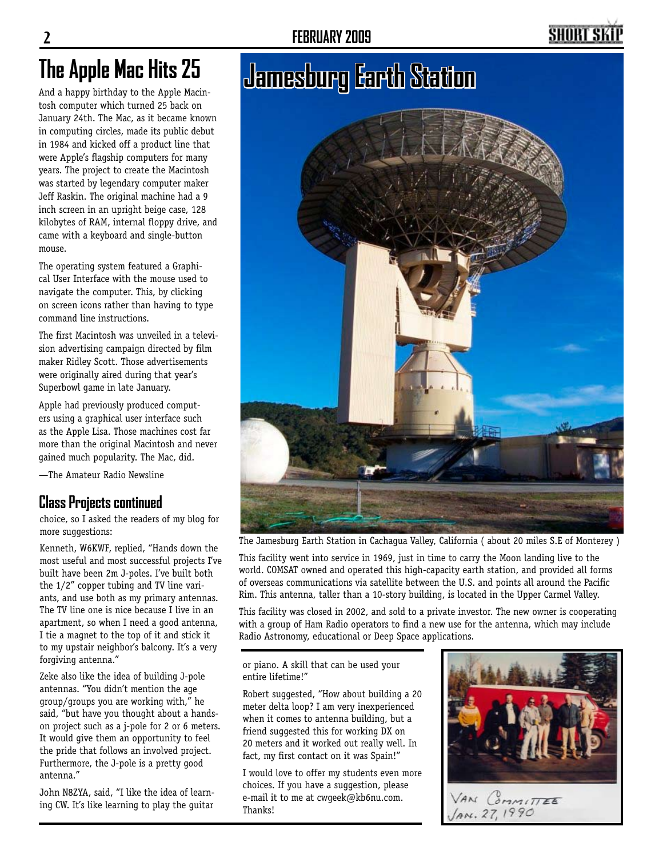# SHORT SI

And a happy birthday to the Apple Macintosh computer which turned 25 back on January 24th. The Mac, as it became known in computing circles, made its public debut in 1984 and kicked off a product line that were Apple's flagship computers for many years. The project to create the Macintosh was started by legendary computer maker Jeff Raskin. The original machine had a 9 inch screen in an upright beige case, 128 kilobytes of RAM, internal floppy drive, and came with a keyboard and single-button mouse.

The operating system featured a Graphical User Interface with the mouse used to navigate the computer. This, by clicking on screen icons rather than having to type command line instructions.

The first Macintosh was unveiled in a television advertising campaign directed by film maker Ridley Scott. Those advertisements were originally aired during that year's Superbowl game in late January.

Apple had previously produced computers using a graphical user interface such as the Apple Lisa. Those machines cost far more than the original Macintosh and never gained much popularity. The Mac, did.

—The Amateur Radio Newsline

### **Class Projects continued**

choice, so I asked the readers of my blog for more suggestions:

Kenneth, W6KWF, replied, "Hands down the most useful and most successful projects I've built have been 2m J-poles. I've built both the 1/2" copper tubing and TV line variants, and use both as my primary antennas. The TV line one is nice because I live in an apartment, so when I need a good antenna, I tie a magnet to the top of it and stick it to my upstair neighbor's balcony. It's a very forgiving antenna."

Zeke also like the idea of building J-pole antennas. "You didn't mention the age group/groups you are working with," he said, "but have you thought about a handson project such as a j-pole for 2 or 6 meters. It would give them an opportunity to feel the pride that follows an involved project. Furthermore, the J-pole is a pretty good antenna."

John N8ZYA, said, "I like the idea of learning CW. It's like learning to play the guitar

# **Jamesburg Earth Station The Apple Mac Hits 25**



The Jamesburg Earth Station in Cachagua Valley, California ( about 20 miles S.E of Monterey )

This facility went into service in 1969, just in time to carry the Moon landing live to the world. COMSAT owned and operated this high-capacity earth station, and provided all forms of overseas communications via satellite between the U.S. and points all around the Pacific Rim. This antenna, taller than a 10-story building, is located in the Upper Carmel Valley.

This facility was closed in 2002, and sold to a private investor. The new owner is cooperating with a group of Ham Radio operators to find a new use for the antenna, which may include Radio Astronomy, educational or Deep Space applications.

or piano. A skill that can be used your entire lifetime!"

Robert suggested, "How about building a 20 meter delta loop? I am very inexperienced when it comes to antenna building, but a friend suggested this for working DX on 20 meters and it worked out really well. In fact, my first contact on it was Spain!"

I would love to offer my students even more choices. If you have a suggestion, please e-mail it to me at cwgeek@kb6nu.com. Thanks!

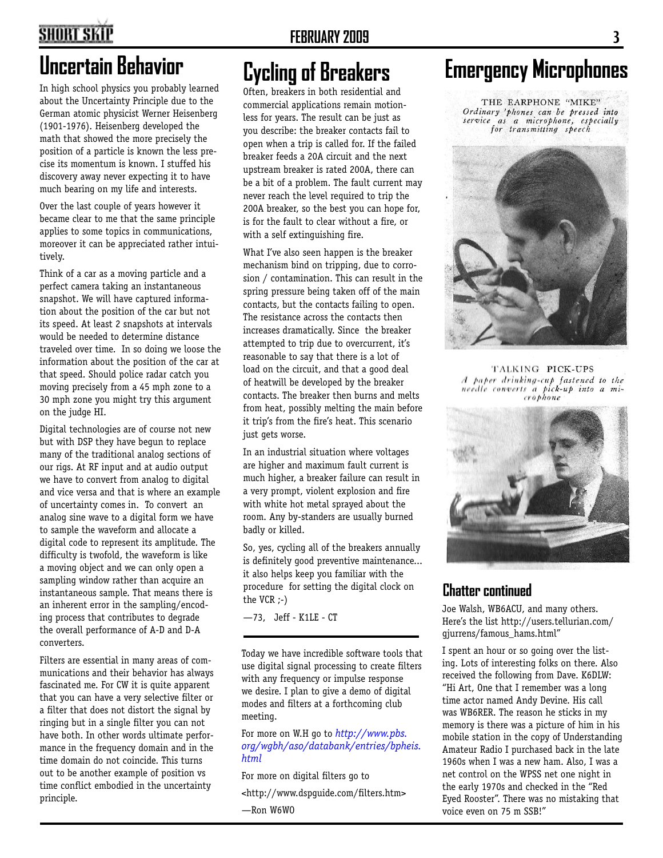# **SHORT SKIP**

In high school physics you probably learned about the Uncertainty Principle due to the German atomic physicist Werner Heisenberg (1901-1976). Heisenberg developed the math that showed the more precisely the position of a particle is known the less precise its momentum is known. I stuffed his discovery away never expecting it to have much bearing on my life and interests.

Over the last couple of years however it became clear to me that the same principle applies to some topics in communications, moreover it can be appreciated rather intuitively.

Think of a car as a moving particle and a perfect camera taking an instantaneous snapshot. We will have captured information about the position of the car but not its speed. At least 2 snapshots at intervals would be needed to determine distance traveled over time. In so doing we loose the information about the position of the car at that speed. Should police radar catch you moving precisely from a 45 mph zone to a 30 mph zone you might try this argument on the judge HI.

Digital technologies are of course not new but with DSP they have begun to replace many of the traditional analog sections of our rigs. At RF input and at audio output we have to convert from analog to digital and vice versa and that is where an example of uncertainty comes in. To convert an analog sine wave to a digital form we have to sample the waveform and allocate a digital code to represent its amplitude. The difficulty is twofold, the waveform is like a moving object and we can only open a sampling window rather than acquire an instantaneous sample. That means there is an inherent error in the sampling/encoding process that contributes to degrade the overall performance of A-D and D-A converters.

Filters are essential in many areas of communications and their behavior has always fascinated me. For CW it is quite apparent that you can have a very selective filter or a filter that does not distort the signal by ringing but in a single filter you can not have both. In other words ultimate performance in the frequency domain and in the time domain do not coincide. This turns out to be another example of position vs time conflict embodied in the uncertainty principle.

Often, breakers in both residential and commercial applications remain motionless for years. The result can be just as you describe: the breaker contacts fail to open when a trip is called for. If the failed breaker feeds a 20A circuit and the next upstream breaker is rated 200A, there can be a bit of a problem. The fault current may never reach the level required to trip the 200A breaker, so the best you can hope for, is for the fault to clear without a fire, or with a self extinguishing fire.

What I've also seen happen is the breaker mechanism bind on tripping, due to corrosion / contamination. This can result in the spring pressure being taken off of the main contacts, but the contacts failing to open. The resistance across the contacts then increases dramatically. Since the breaker attempted to trip due to overcurrent, it's reasonable to say that there is a lot of load on the circuit, and that a good deal of heatwill be developed by the breaker contacts. The breaker then burns and melts from heat, possibly melting the main before it trip's from the fire's heat. This scenario just gets worse.

In an industrial situation where voltages are higher and maximum fault current is much higher, a breaker failure can result in a very prompt, violent explosion and fire with white hot metal sprayed about the room. Any by-standers are usually burned badly or killed.

So, yes, cycling all of the breakers annually is definitely good preventive maintenance... it also helps keep you familiar with the procedure for setting the digital clock on the VCR ;-)

—73, Jeff - K1LE - CT

Today we have incredible software tools that use digital signal processing to create filters with any frequency or impulse response we desire. I plan to give a demo of digital modes and filters at a forthcoming club meeting.

### For more on W.H go to *http://www.pbs. org/wgbh/aso/databank/entries/bpheis. html*

For more on digital filters go to

<http://www.dspguide.com/filters.htm>

—Ron W6WO

# **Uncertain Behavior Cycling of Breakers Emergency Microphones**

THE EARPHONE "MIKE" Ordinary 'phones can be pressed into service as a microphone, especially<br>for transmitting speech



TALKING PICK-UPS A paper drinking-cup fastened to the needle converts a pick-up into a microphone



### **Chatter continued**

Joe Walsh, WB6ACU, and many others. Here's the list http://users.tellurian.com/ gjurrens/famous\_hams.html"

I spent an hour or so going over the listing. Lots of interesting folks on there. Also received the following from Dave. K6DLW: "Hi Art, One that I remember was a long time actor named Andy Devine. His call was WB6RER. The reason he sticks in my memory is there was a picture of him in his mobile station in the copy of Understanding Amateur Radio I purchased back in the late 1960s when I was a new ham. Also, I was a net control on the WPSS net one night in the early 1970s and checked in the "Red Eyed Rooster". There was no mistaking that voice even on 75 m SSB!"